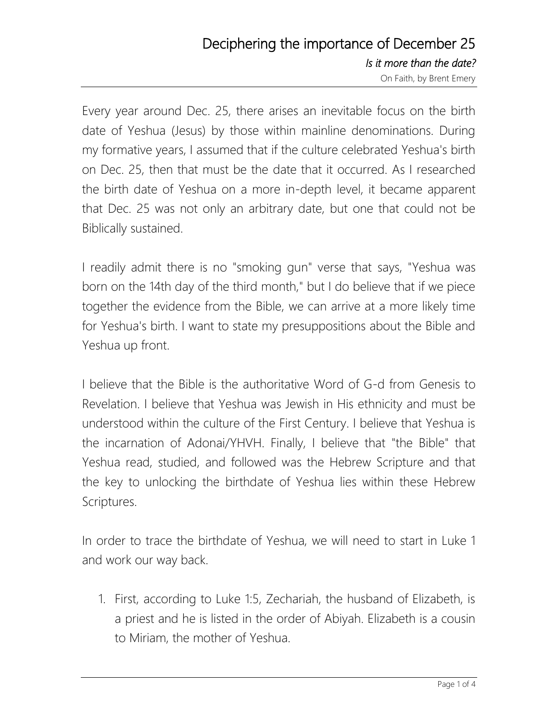## Deciphering the importance of December 25 *Is it more than the date?* On Faith, by Brent Emery

Every year around Dec. 25, there arises an inevitable focus on the birth date of Yeshua (Jesus) by those within mainline denominations. During my formative years, I assumed that if the culture celebrated Yeshua's birth on Dec. 25, then that must be the date that it occurred. As I researched the birth date of Yeshua on a more in-depth level, it became apparent that Dec. 25 was not only an arbitrary date, but one that could not be Biblically sustained.

I readily admit there is no "smoking gun" verse that says, "Yeshua was born on the 14th day of the third month," but I do believe that if we piece together the evidence from the Bible, we can arrive at a more likely time for Yeshua's birth. I want to state my presuppositions about the Bible and Yeshua up front.

I believe that the Bible is the authoritative Word of G-d from Genesis to Revelation. I believe that Yeshua was Jewish in His ethnicity and must be understood within the culture of the First Century. I believe that Yeshua is the incarnation of Adonai/YHVH. Finally, I believe that "the Bible" that Yeshua read, studied, and followed was the Hebrew Scripture and that the key to unlocking the birthdate of Yeshua lies within these Hebrew Scriptures.

In order to trace the birthdate of Yeshua, we will need to start in Luke 1 and work our way back.

1. First, according to Luke 1:5, Zechariah, the husband of Elizabeth, is a priest and he is listed in the order of Abiyah. Elizabeth is a cousin to Miriam, the mother of Yeshua.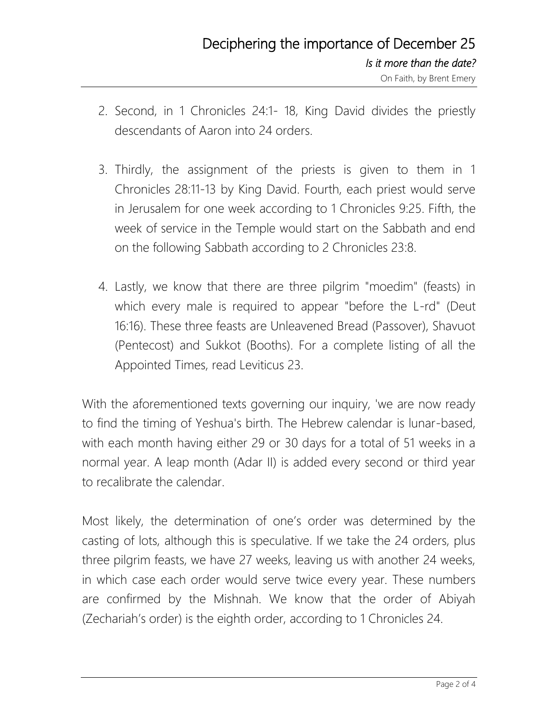- 2. Second, in 1 Chronicles 24:1- 18, King David divides the priestly descendants of Aaron into 24 orders.
- 3. Thirdly, the assignment of the priests is given to them in 1 Chronicles 28:11-13 by King David. Fourth, each priest would serve in Jerusalem for one week according to 1 Chronicles 9:25. Fifth, the week of service in the Temple would start on the Sabbath and end on the following Sabbath according to 2 Chronicles 23:8.
- 4. Lastly, we know that there are three pilgrim "moedim" (feasts) in which every male is required to appear "before the L-rd" (Deut 16:16). These three feasts are Unleavened Bread (Passover), Shavuot (Pentecost) and Sukkot (Booths). For a complete listing of all the Appointed Times, read Leviticus 23.

With the aforementioned texts governing our inquiry, 'we are now ready to find the timing of Yeshua's birth. The Hebrew calendar is lunar-based, with each month having either 29 or 30 days for a total of 51 weeks in a normal year. A leap month (Adar II) is added every second or third year to recalibrate the calendar.

Most likely, the determination of one's order was determined by the casting of lots, although this is speculative. If we take the 24 orders, plus three pilgrim feasts, we have 27 weeks, leaving us with another 24 weeks, in which case each order would serve twice every year. These numbers are confirmed by the Mishnah. We know that the order of Abiyah (Zechariah's order) is the eighth order, according to 1 Chronicles 24.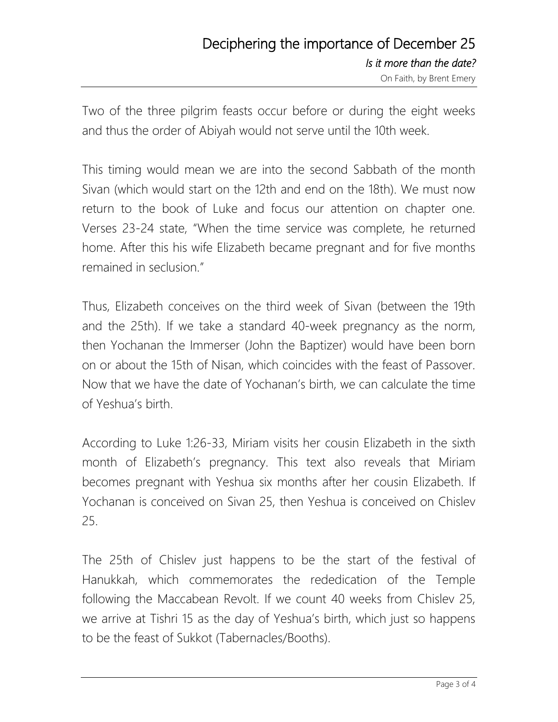Two of the three pilgrim feasts occur before or during the eight weeks and thus the order of Abiyah would not serve until the 10th week.

This timing would mean we are into the second Sabbath of the month Sivan (which would start on the 12th and end on the 18th). We must now return to the book of Luke and focus our attention on chapter one. Verses 23-24 state, "When the time service was complete, he returned home. After this his wife Elizabeth became pregnant and for five months remained in seclusion."

Thus, Elizabeth conceives on the third week of Sivan (between the 19th and the 25th). If we take a standard 40-week pregnancy as the norm, then Yochanan the Immerser (John the Baptizer) would have been born on or about the 15th of Nisan, which coincides with the feast of Passover. Now that we have the date of Yochanan's birth, we can calculate the time of Yeshua's birth.

According to Luke 1:26-33, Miriam visits her cousin Elizabeth in the sixth month of Elizabeth's pregnancy. This text also reveals that Miriam becomes pregnant with Yeshua six months after her cousin Elizabeth. If Yochanan is conceived on Sivan 25, then Yeshua is conceived on Chislev 25.

The 25th of Chislev just happens to be the start of the festival of Hanukkah, which commemorates the rededication of the Temple following the Maccabean Revolt. If we count 40 weeks from Chislev 25, we arrive at Tishri 15 as the day of Yeshua's birth, which just so happens to be the feast of Sukkot (Tabernacles/Booths).